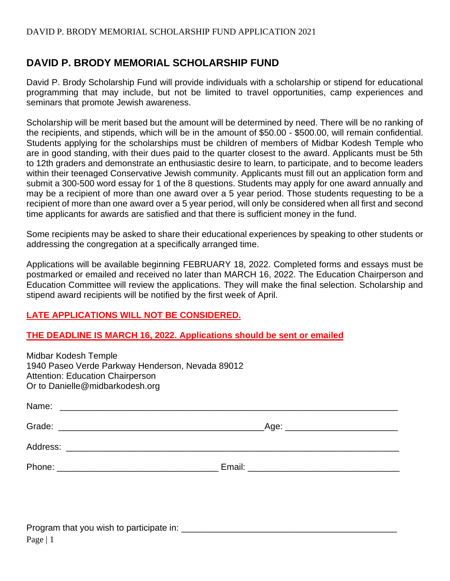# **DAVID P. BRODY MEMORIAL SCHOLARSHIP FUND**

David P. Brody Scholarship Fund will provide individuals with a scholarship or stipend for educational programming that may include, but not be limited to travel opportunities, camp experiences and seminars that promote Jewish awareness.

Scholarship will be merit based but the amount will be determined by need. There will be no ranking of the recipients, and stipends, which will be in the amount of \$50.00 - \$500.00, will remain confidential. Students applying for the scholarships must be children of members of Midbar Kodesh Temple who are in good standing, with their dues paid to the quarter closest to the award. Applicants must be 5th to 12th graders and demonstrate an enthusiastic desire to learn, to participate, and to become leaders within their teenaged Conservative Jewish community. Applicants must fill out an application form and submit a 300-500 word essay for 1 of the 8 questions. Students may apply for one award annually and may be a recipient of more than one award over a 5 year period. Those students requesting to be a recipient of more than one award over a 5 year period, will only be considered when all first and second time applicants for awards are satisfied and that there is sufficient money in the fund.

Some recipients may be asked to share their educational experiences by speaking to other students or addressing the congregation at a specifically arranged time.

Applications will be available beginning FEBRUARY 18, 2022. Completed forms and essays must be postmarked or emailed and received no later than MARCH 16, 2022. The Education Chairperson and Education Committee will review the applications. They will make the final selection. Scholarship and stipend award recipients will be notified by the first week of April.

# **LATE APPLICATIONS WILL NOT BE CONSIDERED.**

#### **THE DEADLINE IS MARCH 16, 2022. Applications should be sent or emailed**

| Midbar Kodesh Temple<br>1940 Paseo Verde Parkway Henderson, Nevada 89012<br><b>Attention: Education Chairperson</b><br>Or to Danielle@midbarkodesh.org |                                      |
|--------------------------------------------------------------------------------------------------------------------------------------------------------|--------------------------------------|
|                                                                                                                                                        |                                      |
|                                                                                                                                                        | _Age: ______________________________ |
|                                                                                                                                                        |                                      |
|                                                                                                                                                        |                                      |
|                                                                                                                                                        |                                      |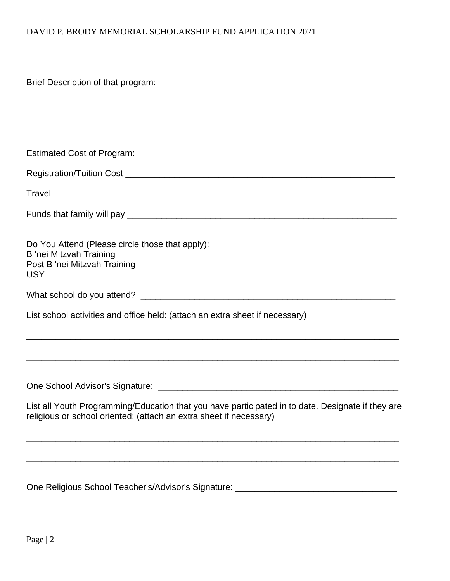## DAVID P. BRODY MEMORIAL SCHOLARSHIP FUND APPLICATION 2021

Brief Description of that program:

| <b>Estimated Cost of Program:</b>                                                                                                                                       |
|-------------------------------------------------------------------------------------------------------------------------------------------------------------------------|
|                                                                                                                                                                         |
|                                                                                                                                                                         |
|                                                                                                                                                                         |
| Do You Attend (Please circle those that apply):<br><b>B</b> 'nei Mitzvah Training<br>Post B 'nei Mitzvah Training<br><b>USY</b>                                         |
|                                                                                                                                                                         |
| List school activities and office held: (attach an extra sheet if necessary)                                                                                            |
|                                                                                                                                                                         |
|                                                                                                                                                                         |
| List all Youth Programming/Education that you have participated in to date. Designate if they are<br>religious or school oriented: (attach an extra sheet if necessary) |
|                                                                                                                                                                         |
|                                                                                                                                                                         |

One Religious School Teacher's/Advisor's Signature: \_\_\_\_\_\_\_\_\_\_\_\_\_\_\_\_\_\_\_\_\_\_\_\_\_\_\_\_